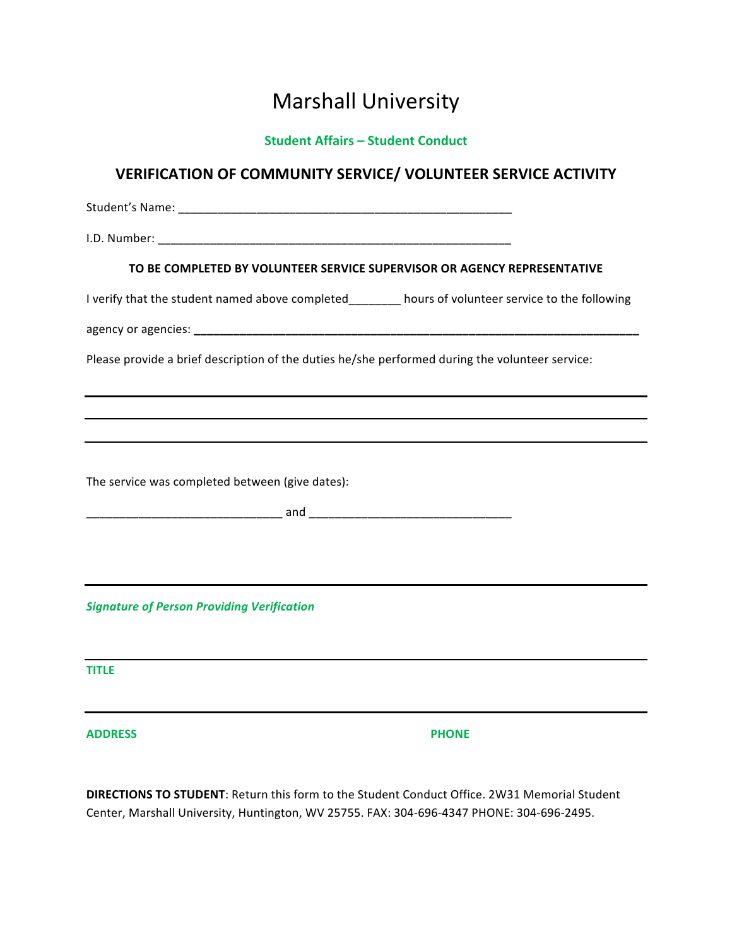## **Marshall University**

## **Student Affairs – Student Conduct**

## **VERIFICATION OF COMMUNITY SERVICE/ VOLUNTEER SERVICE ACTIVITY**

Student's Name: <u>and the student</u> of the student of the student of the student of the student of the student of the student of the student of the student of the student of the student of the student of the student of the s I.D. Number: \_\_\_\_\_\_\_\_\_\_\_\_\_\_\_\_\_\_\_\_\_\_\_\_\_\_\_\_\_\_\_\_\_\_\_\_\_\_\_\_\_\_\_\_\_\_\_\_\_\_\_\_\_\_ **TO BE COMPLETED BY VOLUNTEER SERVICE SUPERVISOR OR AGENCY REPRESENTATIVE** I verify that the student named above completed hours of volunteer service to the following agency or agencies: **\_\_\_\_\_\_\_\_\_\_\_\_\_\_\_\_\_\_\_\_\_\_\_\_\_\_\_\_\_\_\_\_\_\_\_\_\_\_\_\_\_\_\_\_\_\_\_\_\_\_\_\_\_\_\_\_\_\_\_\_\_\_\_\_\_\_\_\_** Please provide a brief description of the duties he/she performed during the volunteer service: The service was completed between (give dates): \_\_\_\_\_\_\_\_\_\_\_\_\_\_\_\_\_\_\_\_\_\_\_\_\_\_\_\_\_\_ and \_\_\_\_\_\_\_\_\_\_\_\_\_\_\_\_\_\_\_\_\_\_\_\_\_\_\_\_\_\_\_ *Signature of Person Providing Verification* **TITLE ADDRESS PHONE**

**DIRECTIONS TO STUDENT:** Return this form to the Student Conduct Office. 2W31 Memorial Student Center, Marshall University, Huntington, WV 25755. FAX: 304-696-4347 PHONE: 304-696-2495.